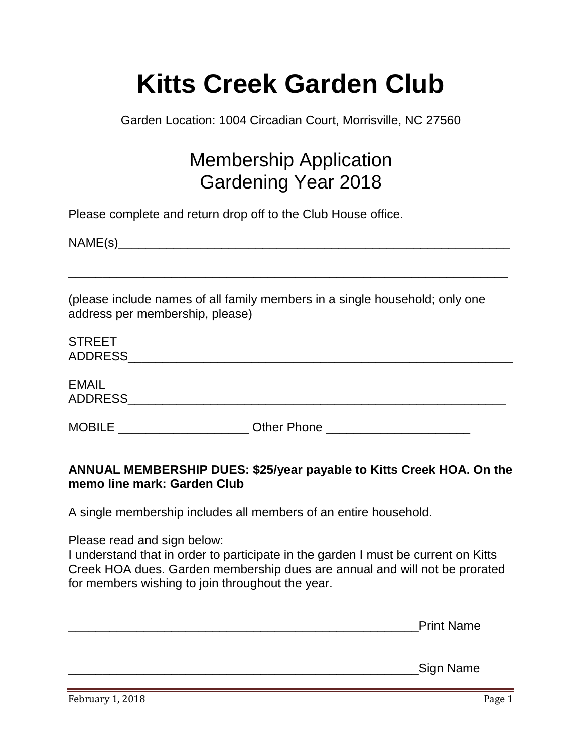## **Kitts Creek Garden Club**

Garden Location: 1004 Circadian Court, Morrisville, NC 27560

## Membership Application Gardening Year 2018

Please complete and return drop off to the Club House office.

NAME(s)\_\_\_\_\_\_\_\_\_\_\_\_\_\_\_\_\_\_\_\_\_\_\_\_\_\_\_\_\_\_\_\_\_\_\_\_\_\_\_\_\_\_\_\_\_\_\_\_\_\_\_\_\_\_\_\_\_

\_\_\_\_\_\_\_\_\_\_\_\_\_\_\_\_\_\_\_\_\_\_\_\_\_\_\_\_\_\_\_\_\_\_\_\_\_\_\_\_\_\_\_\_\_\_\_\_\_\_\_\_\_\_\_\_\_\_\_\_\_\_\_\_

(please include names of all family members in a single household; only one address per membership, please)

EMAIL ADDRESS\_\_\_\_\_\_\_\_\_\_\_\_\_\_\_\_\_\_\_\_\_\_\_\_\_\_\_\_\_\_\_\_\_\_\_\_\_\_\_\_\_\_\_\_\_\_\_\_\_\_\_\_\_\_\_

MOBILE \_\_\_\_\_\_\_\_\_\_\_\_\_\_\_\_\_\_\_ Other Phone \_\_\_\_\_\_\_\_\_\_\_\_\_\_\_\_\_\_\_\_\_

## **ANNUAL MEMBERSHIP DUES: \$25/year payable to Kitts Creek HOA. On the memo line mark: Garden Club**

A single membership includes all members of an entire household.

Please read and sign below:

I understand that in order to participate in the garden I must be current on Kitts Creek HOA dues. Garden membership dues are annual and will not be prorated for members wishing to join throughout the year.

|  |  | <b>Print Name</b> |  |
|--|--|-------------------|--|
|  |  | Sign Name         |  |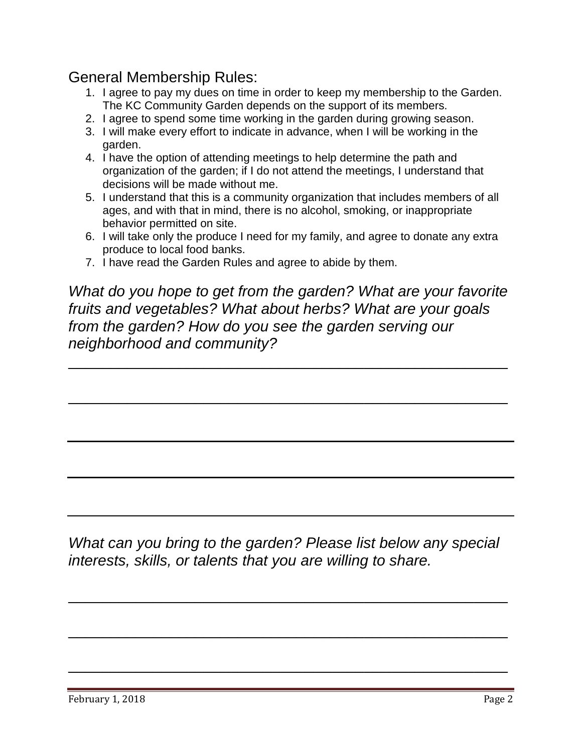## General Membership Rules:

- 1. I agree to pay my dues on time in order to keep my membership to the Garden. The KC Community Garden depends on the support of its members.
- 2. I agree to spend some time working in the garden during growing season.
- 3. I will make every effort to indicate in advance, when I will be working in the garden.
- 4. I have the option of attending meetings to help determine the path and organization of the garden; if I do not attend the meetings, I understand that decisions will be made without me.
- 5. I understand that this is a community organization that includes members of all ages, and with that in mind, there is no alcohol, smoking, or inappropriate behavior permitted on site.
- 6. I will take only the produce I need for my family, and agree to donate any extra produce to local food banks.
- 7. I have read the Garden Rules and agree to abide by them.

*What do you hope to get from the garden? What are your favorite fruits and vegetables? What about herbs? What are your goals from the garden? How do you see the garden serving our neighborhood and community?*

\_\_\_\_\_\_\_\_\_\_\_\_\_\_\_\_\_\_\_\_\_\_\_\_\_\_\_\_\_\_\_\_\_\_\_\_\_\_\_\_\_\_\_\_\_\_\_\_\_\_\_\_

\_\_\_\_\_\_\_\_\_\_\_\_\_\_\_\_\_\_\_\_\_\_\_\_\_\_\_\_\_\_\_\_\_\_\_\_\_\_\_\_\_\_\_\_\_\_\_\_\_\_\_\_

*What can you bring to the garden? Please list below any special interests, skills, or talents that you are willing to share.*

\_\_\_\_\_\_\_\_\_\_\_\_\_\_\_\_\_\_\_\_\_\_\_\_\_\_\_\_\_\_\_\_\_\_\_\_\_\_\_\_\_\_\_\_\_\_\_\_\_\_\_\_

\_\_\_\_\_\_\_\_\_\_\_\_\_\_\_\_\_\_\_\_\_\_\_\_\_\_\_\_\_\_\_\_\_\_\_\_\_\_\_\_\_\_\_\_\_\_\_\_\_\_\_\_

\_\_\_\_\_\_\_\_\_\_\_\_\_\_\_\_\_\_\_\_\_\_\_\_\_\_\_\_\_\_\_\_\_\_\_\_\_\_\_\_\_\_\_\_\_\_\_\_\_\_\_\_